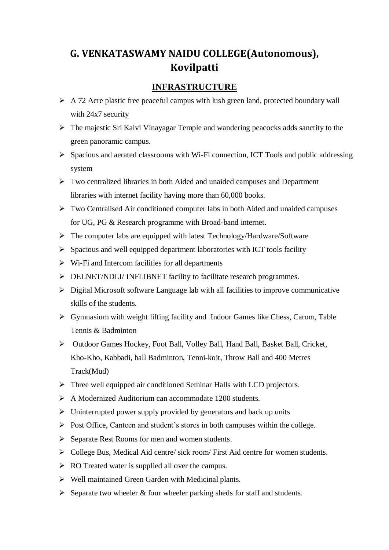## **G. VENKATASWAMY NAIDU COLLEGE(Autonomous), Kovilpatti**

## **INFRASTRUCTURE**

- $\triangleright$  A 72 Acre plastic free peaceful campus with lush green land, protected boundary wall with 24x7 security
- The majestic Sri Kalvi Vinayagar Temple and wandering peacocks adds sanctity to the green panoramic campus.
- $\triangleright$  Spacious and aerated classrooms with Wi-Fi connection, ICT Tools and public addressing system
- Two centralized libraries in both Aided and unaided campuses and Department libraries with internet facility having more than 60,000 books.
- $\triangleright$  Two Centralised Air conditioned computer labs in both Aided and unaided campuses for UG, PG & Research programme with Broad-band internet.
- $\triangleright$  The computer labs are equipped with latest Technology/Hardware/Software
- $\triangleright$  Spacious and well equipped department laboratories with ICT tools facility
- $\triangleright$  Wi-Fi and Intercom facilities for all departments
- $\triangleright$  DELNET/NDLI/ INFLIBNET facility to facilitate research programmes.
- $\triangleright$  Digital Microsoft software Language lab with all facilities to improve communicative skills of the students.
- $\triangleright$  Gymnasium with weight lifting facility and Indoor Games like Chess, Carom, Table Tennis & Badminton
- Outdoor Games Hockey, Foot Ball, Volley Ball, Hand Ball, Basket Ball, Cricket, Kho-Kho, Kabbadi, ball Badminton, Tenni-koit, Throw Ball and 400 Metres Track(Mud)
- Three well equipped air conditioned Seminar Halls with LCD projectors.
- $\triangleright$  A Modernized Auditorium can accommodate 1200 students.
- $\triangleright$  Uninterrupted power supply provided by generators and back up units
- $\triangleright$  Post Office, Canteen and student's stores in both campuses within the college.
- $\triangleright$  Separate Rest Rooms for men and women students.
- $\triangleright$  College Bus, Medical Aid centre/ sick room/ First Aid centre for women students.
- $\triangleright$  RO Treated water is supplied all over the campus.
- $\triangleright$  Well maintained Green Garden with Medicinal plants.
- $\triangleright$  Separate two wheeler & four wheeler parking sheds for staff and students.